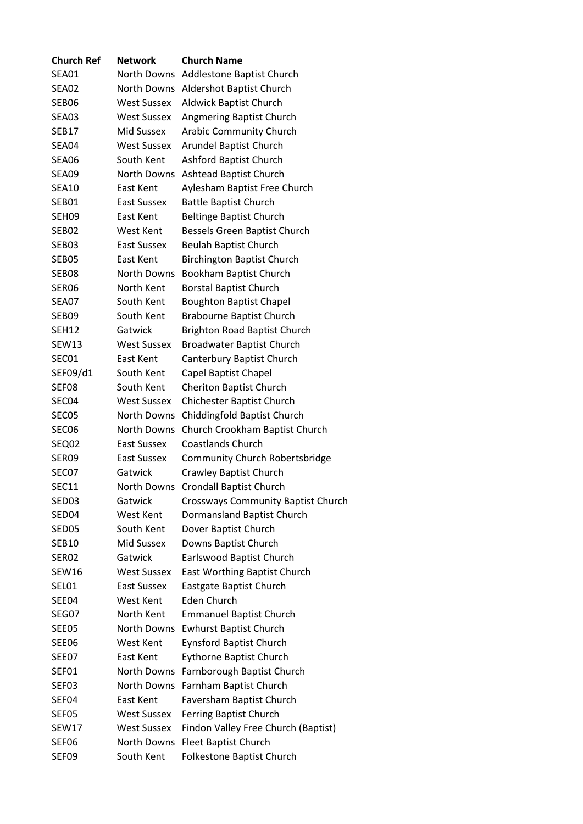| <b>Church Ref</b> | <b>Network</b>     | <b>Church Name</b>                        |
|-------------------|--------------------|-------------------------------------------|
| SEA01             | North Downs        | Addlestone Baptist Church                 |
| SEA02             |                    | North Downs Aldershot Baptist Church      |
| SEB06             | <b>West Sussex</b> | <b>Aldwick Baptist Church</b>             |
| <b>SEA03</b>      | <b>West Sussex</b> | Angmering Baptist Church                  |
| SEB17             | <b>Mid Sussex</b>  | <b>Arabic Community Church</b>            |
| SEA04             | <b>West Sussex</b> | <b>Arundel Baptist Church</b>             |
| SEA06             | South Kent         | <b>Ashford Baptist Church</b>             |
| SEA09             | North Downs        | <b>Ashtead Baptist Church</b>             |
| <b>SEA10</b>      | East Kent          | Aylesham Baptist Free Church              |
| SEB01             | East Sussex        | <b>Battle Baptist Church</b>              |
| SEH09             | East Kent          | <b>Beltinge Baptist Church</b>            |
| SEB02             | West Kent          | Bessels Green Baptist Church              |
| SEB03             | <b>East Sussex</b> | <b>Beulah Baptist Church</b>              |
| SEB05             | East Kent          | <b>Birchington Baptist Church</b>         |
| SEB08             | <b>North Downs</b> | Bookham Baptist Church                    |
| SER06             | North Kent         | <b>Borstal Baptist Church</b>             |
| SEA07             | South Kent         | <b>Boughton Baptist Chapel</b>            |
| SEB09             | South Kent         | <b>Brabourne Baptist Church</b>           |
| <b>SEH12</b>      | Gatwick            | <b>Brighton Road Baptist Church</b>       |
| SEW13             | <b>West Sussex</b> | <b>Broadwater Baptist Church</b>          |
| SEC01             | East Kent          | Canterbury Baptist Church                 |
| SEF09/d1          | South Kent         | Capel Baptist Chapel                      |
| SEF08             | South Kent         | <b>Cheriton Baptist Church</b>            |
| SEC04             | <b>West Sussex</b> | <b>Chichester Baptist Church</b>          |
| SEC05             | North Downs        | Chiddingfold Baptist Church               |
| SEC06             | <b>North Downs</b> | Church Crookham Baptist Church            |
| SEQ02             | <b>East Sussex</b> | <b>Coastlands Church</b>                  |
| SER09             | <b>East Sussex</b> | <b>Community Church Robertsbridge</b>     |
| SEC07             | Gatwick            | Crawley Baptist Church                    |
| <b>SEC11</b>      | <b>North Downs</b> | <b>Crondall Baptist Church</b>            |
| SED03             | Gatwick            | <b>Crossways Community Baptist Church</b> |
| SED04             | <b>West Kent</b>   | Dormansland Baptist Church                |
| SED05             | South Kent         | Dover Baptist Church                      |
| <b>SEB10</b>      | <b>Mid Sussex</b>  | Downs Baptist Church                      |
| SER <sub>02</sub> | Gatwick            | Earlswood Baptist Church                  |
| SEW16             | <b>West Sussex</b> | East Worthing Baptist Church              |
| SEL01             | <b>East Sussex</b> | Eastgate Baptist Church                   |
| SEE04             | West Kent          | Eden Church                               |
| SEG07             | North Kent         | <b>Emmanuel Baptist Church</b>            |
| <b>SEE05</b>      | North Downs        | <b>Ewhurst Baptist Church</b>             |
| SEE06             | West Kent          | <b>Eynsford Baptist Church</b>            |
| SEE07             | East Kent          | <b>Eythorne Baptist Church</b>            |
| SEF01             | North Downs        | Farnborough Baptist Church                |
| SEF03             | North Downs        | Farnham Baptist Church                    |
| SEF04             | East Kent          | Faversham Baptist Church                  |
| SEF05             | <b>West Sussex</b> | Ferring Baptist Church                    |
| SEW17             | <b>West Sussex</b> | Findon Valley Free Church (Baptist)       |
| SEF06             | North Downs        | Fleet Baptist Church                      |
| SEF09             | South Kent         | Folkestone Baptist Church                 |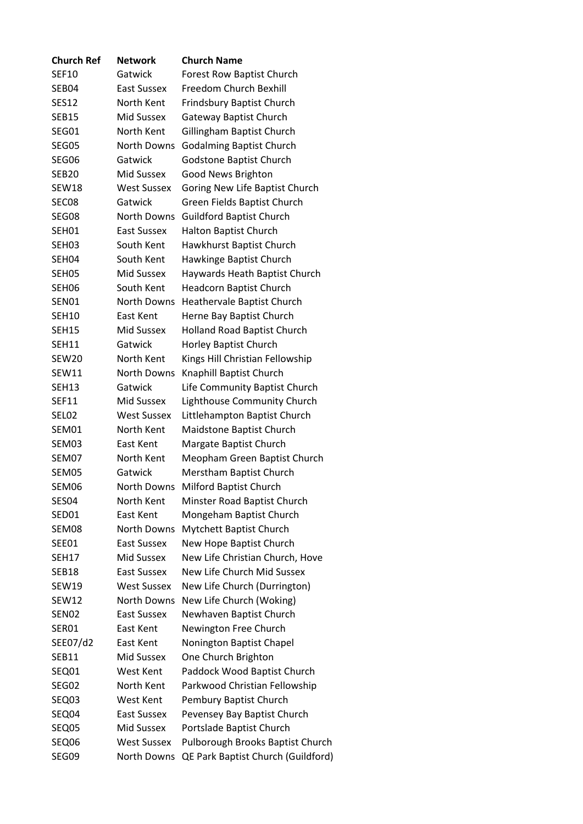| <b>Church Ref</b> | <b>Network</b>     | <b>Church Name</b>                 |
|-------------------|--------------------|------------------------------------|
| <b>SEF10</b>      | Gatwick            | <b>Forest Row Baptist Church</b>   |
| SEB04             | <b>East Sussex</b> | Freedom Church Bexhill             |
| <b>SES12</b>      | North Kent         | Frindsbury Baptist Church          |
| <b>SEB15</b>      | Mid Sussex         | <b>Gateway Baptist Church</b>      |
| SEG01             | North Kent         | Gillingham Baptist Church          |
| SEG05             | <b>North Downs</b> | <b>Godalming Baptist Church</b>    |
| SEG06             | Gatwick            | Godstone Baptist Church            |
| <b>SEB20</b>      | <b>Mid Sussex</b>  | Good News Brighton                 |
| SEW18             | <b>West Sussex</b> | Goring New Life Baptist Church     |
| SEC <sub>08</sub> | Gatwick            | Green Fields Baptist Church        |
| SEG08             | <b>North Downs</b> | <b>Guildford Baptist Church</b>    |
| SEH01             | <b>East Sussex</b> | Halton Baptist Church              |
| SEH03             | South Kent         | Hawkhurst Baptist Church           |
| SEH <sub>04</sub> | South Kent         | Hawkinge Baptist Church            |
| SEH05             | Mid Sussex         | Haywards Heath Baptist Church      |
| SEH06             | South Kent         | Headcorn Baptist Church            |
| SEN01             | <b>North Downs</b> | Heathervale Baptist Church         |
| <b>SEH10</b>      | East Kent          | Herne Bay Baptist Church           |
| <b>SEH15</b>      | Mid Sussex         | <b>Holland Road Baptist Church</b> |
| <b>SEH11</b>      | Gatwick            | Horley Baptist Church              |
| SEW <sub>20</sub> | North Kent         | Kings Hill Christian Fellowship    |
| <b>SEW11</b>      | <b>North Downs</b> | Knaphill Baptist Church            |
| <b>SEH13</b>      | Gatwick            | Life Community Baptist Church      |
| <b>SEF11</b>      | Mid Sussex         | Lighthouse Community Church        |
| SEL02             | <b>West Sussex</b> | Littlehampton Baptist Church       |
| SEM01             | North Kent         | Maidstone Baptist Church           |
| SEM03             | East Kent          | Margate Baptist Church             |
| SEM07             | North Kent         | Meopham Green Baptist Church       |
| SEM05             | Gatwick            | Merstham Baptist Church            |
| SEM06             | <b>North Downs</b> | Milford Baptist Church             |
| SES04             | North Kent         | Minster Road Baptist Church        |
| SED01             | East Kent          | Mongeham Baptist Church            |
| SEM08             | <b>North Downs</b> | Mytchett Baptist Church            |
| SEE01             | <b>East Sussex</b> | New Hope Baptist Church            |
| <b>SEH17</b>      | Mid Sussex         | New Life Christian Church, Hove    |
| SEB18             | <b>East Sussex</b> | New Life Church Mid Sussex         |
| <b>SEW19</b>      | <b>West Sussex</b> | New Life Church (Durrington)       |
| <b>SEW12</b>      | North Downs        | New Life Church (Woking)           |
| SEN <sub>02</sub> | <b>East Sussex</b> | Newhaven Baptist Church            |
| SER01             | East Kent          |                                    |
|                   |                    | Newington Free Church              |
| SEE07/d2          | East Kent          | Nonington Baptist Chapel           |
| <b>SEB11</b>      | Mid Sussex         | One Church Brighton                |
| SEQ01             | West Kent          | Paddock Wood Baptist Church        |
| SEG02             | North Kent         | Parkwood Christian Fellowship      |
| SEQ03             | West Kent          | Pembury Baptist Church             |
| SEQ04             | <b>East Sussex</b> | Pevensey Bay Baptist Church        |
| SEQ05             | Mid Sussex         | Portslade Baptist Church           |
| SEQ06             | <b>West Sussex</b> | Pulborough Brooks Baptist Church   |
| SEG09             | North Downs        | QE Park Baptist Church (Guildford) |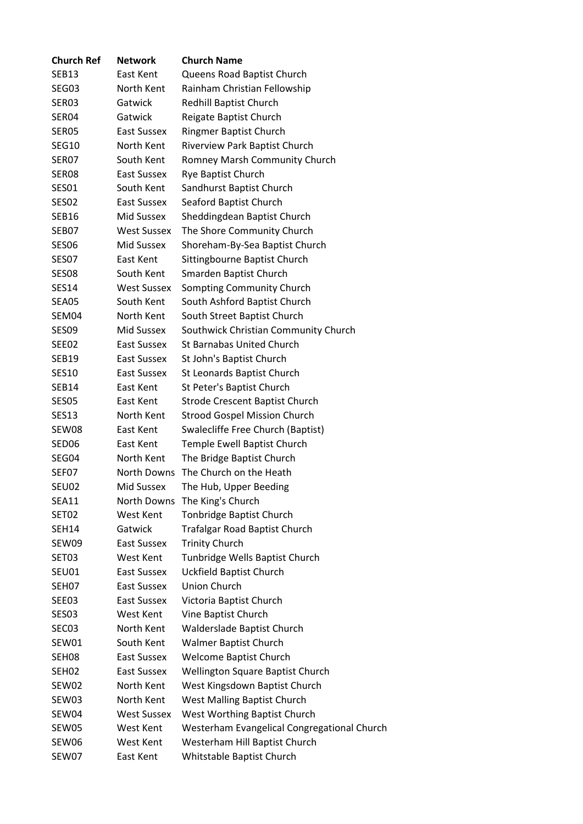| <b>Church Ref</b> | <b>Network</b>     | <b>Church Name</b>                          |
|-------------------|--------------------|---------------------------------------------|
| SEB13             | East Kent          | Queens Road Baptist Church                  |
| SEG03             | North Kent         | Rainham Christian Fellowship                |
| SER03             | Gatwick            | Redhill Baptist Church                      |
| SER04             | Gatwick            | Reigate Baptist Church                      |
| SER05             | East Sussex        | <b>Ringmer Baptist Church</b>               |
| SEG10             | North Kent         | Riverview Park Baptist Church               |
| SER07             | South Kent         | Romney Marsh Community Church               |
| SER <sub>08</sub> | East Sussex        | Rye Baptist Church                          |
| SES01             | South Kent         | Sandhurst Baptist Church                    |
| SES <sub>02</sub> | East Sussex        | Seaford Baptist Church                      |
| SEB <sub>16</sub> | Mid Sussex         | Sheddingdean Baptist Church                 |
| SEB07             | <b>West Sussex</b> | The Shore Community Church                  |
| SES06             | Mid Sussex         | Shoreham-By-Sea Baptist Church              |
| SES07             | <b>East Kent</b>   | Sittingbourne Baptist Church                |
| SES <sub>08</sub> | South Kent         | Smarden Baptist Church                      |
| SES14             | <b>West Sussex</b> | Sompting Community Church                   |
| SEA05             | South Kent         | South Ashford Baptist Church                |
| SEM04             | North Kent         | South Street Baptist Church                 |
| SES <sub>09</sub> | Mid Sussex         | Southwick Christian Community Church        |
| SEE02             | East Sussex        | <b>St Barnabas United Church</b>            |
| SEB19             | East Sussex        | St John's Baptist Church                    |
| <b>SES10</b>      | East Sussex        | St Leonards Baptist Church                  |
| SEB14             | East Kent          | St Peter's Baptist Church                   |
| SES05             | East Kent          | <b>Strode Crescent Baptist Church</b>       |
| SES13             | North Kent         | <b>Strood Gospel Mission Church</b>         |
| SEW08             | East Kent          | Swalecliffe Free Church (Baptist)           |
| SED06             | East Kent          | Temple Ewell Baptist Church                 |
| SEG04             | North Kent         | The Bridge Baptist Church                   |
| SEF07             | <b>North Downs</b> | The Church on the Heath                     |
| SEU02             | Mid Sussex         | The Hub, Upper Beeding                      |
| <b>SEA11</b>      | North Downs        | The King's Church                           |
| SET02             | West Kent          | <b>Tonbridge Baptist Church</b>             |
| SEH14             | Gatwick            | <b>Trafalgar Road Baptist Church</b>        |
| SEW09             | East Sussex        | <b>Trinity Church</b>                       |
| SET03             | <b>West Kent</b>   | Tunbridge Wells Baptist Church              |
| SEU01             | East Sussex        | Uckfield Baptist Church                     |
| SEH07             | East Sussex        | <b>Union Church</b>                         |
| SEE03             | East Sussex        | Victoria Baptist Church                     |
| SES <sub>03</sub> | West Kent          | Vine Baptist Church                         |
| SEC03             | North Kent         | Walderslade Baptist Church                  |
| SEW01             | South Kent         | <b>Walmer Baptist Church</b>                |
| SEH08             | East Sussex        | Welcome Baptist Church                      |
| SEH <sub>02</sub> | East Sussex        | Wellington Square Baptist Church            |
| SEW02             | North Kent         | West Kingsdown Baptist Church               |
| SEW03             | North Kent         | West Malling Baptist Church                 |
| SEW04             | <b>West Sussex</b> | West Worthing Baptist Church                |
| SEW05             | West Kent          | Westerham Evangelical Congregational Church |
| SEW06             | West Kent          | Westerham Hill Baptist Church               |
| SEW07             | East Kent          | Whitstable Baptist Church                   |